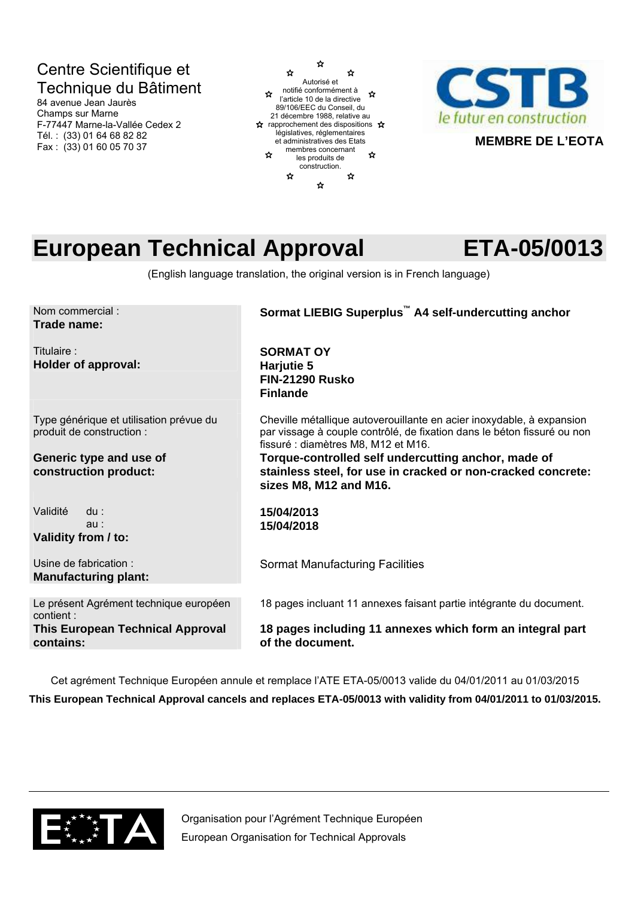## Centre Scientifique et Technique du Bâtiment

84 avenue Jean Jaurès Champs sur Marne F-77447 Marne-la-Vallée Cedex 2 Tél. : (33) 01 64 68 82 82 Fax : (33) 01 60 05 70 37





# **European Technical Approval ETA-05/0013**

**MEMBRE DE L'EOTA**

(English language translation, the original version is in French language)

| Nom commercial:<br>Trade name:                                       | Sormat LIEBIG Superplus <sup>™</sup> A4 self-undercutting anchor                                                                                                                        |
|----------------------------------------------------------------------|-----------------------------------------------------------------------------------------------------------------------------------------------------------------------------------------|
| Titulaire:<br><b>Holder of approval:</b>                             | <b>SORMAT OY</b><br>Harjutie 5<br><b>FIN-21290 Rusko</b><br><b>Finlande</b>                                                                                                             |
| Type générique et utilisation prévue du<br>produit de construction : | Cheville métallique autoverouillante en acier inoxydable, à expansion<br>par vissage à couple contrôlé, de fixation dans le béton fissuré ou non<br>fissuré : diamètres M8, M12 et M16. |
| Generic type and use of<br>construction product:                     | Torque-controlled self undercutting anchor, made of<br>stainless steel, for use in cracked or non-cracked concrete:<br>sizes M8, M12 and M16.                                           |
| Validité<br>$du$ :<br>au:<br>Validity from / to:                     | 15/04/2013<br>15/04/2018                                                                                                                                                                |
| Usine de fabrication:<br><b>Manufacturing plant:</b>                 | <b>Sormat Manufacturing Facilities</b>                                                                                                                                                  |
| Le présent Agrément technique européen<br>contient:                  | 18 pages incluant 11 annexes faisant partie intégrante du document.                                                                                                                     |
| <b>This European Technical Approval</b><br>contains:                 | 18 pages including 11 annexes which form an integral part<br>of the document.                                                                                                           |

Cet agrément Technique Européen annule et remplace l'ATE ETA-05/0013 valide du 04/01/2011 au 01/03/2015 **This European Technical Approval cancels and replaces ETA-05/0013 with validity from 04/01/2011 to 01/03/2015.** 



Organisation pour l'Agrément Technique Européen European Organisation for Technical Approvals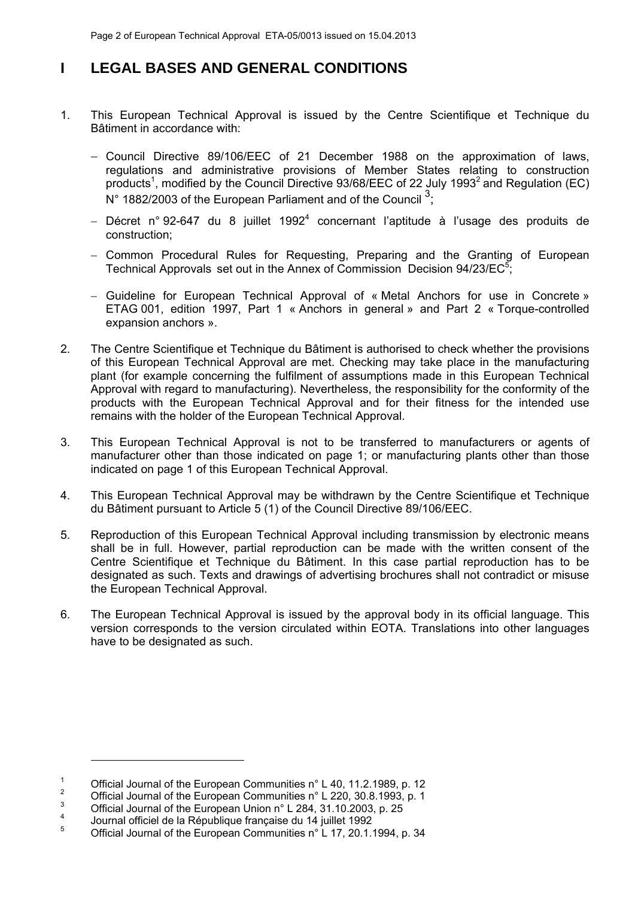### **I LEGAL BASES AND GENERAL CONDITIONS**

- 1. This European Technical Approval is issued by the Centre Scientifique et Technique du Bâtiment in accordance with:
	- Council Directive 89/106/EEC of 21 December 1988 on the approximation of laws, regulations and administrative provisions of Member States relating to construction products<sup>1</sup>, modified by the Council Directive 93/68/EEC of 22 July 1993<sup>2</sup> and Regulation (EC)  $N^{\circ}$  1882/2003 of the European Parliament and of the Council  $^{3}$ ;
	- $-$  Décret n° 92-647 du 8 juillet 1992<sup>4</sup> concernant l'aptitude à l'usage des produits de construction;
	- Common Procedural Rules for Requesting, Preparing and the Granting of European Technical Approvals set out in the Annex of Commission Decision  $94/23/EC^5$ ;
	- Guideline for European Technical Approval of « Metal Anchors for use in Concrete » ETAG 001, edition 1997, Part 1 « Anchors in general » and Part 2 « Torque-controlled expansion anchors ».
- 2. The Centre Scientifique et Technique du Bâtiment is authorised to check whether the provisions of this European Technical Approval are met. Checking may take place in the manufacturing plant (for example concerning the fulfilment of assumptions made in this European Technical Approval with regard to manufacturing). Nevertheless, the responsibility for the conformity of the products with the European Technical Approval and for their fitness for the intended use remains with the holder of the European Technical Approval.
- 3. This European Technical Approval is not to be transferred to manufacturers or agents of manufacturer other than those indicated on page 1; or manufacturing plants other than those indicated on page 1 of this European Technical Approval.
- 4. This European Technical Approval may be withdrawn by the Centre Scientifique et Technique du Bâtiment pursuant to Article 5 (1) of the Council Directive 89/106/EEC.
- 5. Reproduction of this European Technical Approval including transmission by electronic means shall be in full. However, partial reproduction can be made with the written consent of the Centre Scientifique et Technique du Bâtiment. In this case partial reproduction has to be designated as such. Texts and drawings of advertising brochures shall not contradict or misuse the European Technical Approval.
- 6. The European Technical Approval is issued by the approval body in its official language. This version corresponds to the version circulated within EOTA. Translations into other languages have to be designated as such.

-

<sup>1</sup> Official Journal of the European Communities n° L 40, 11.2.1989, p. 12

<sup>2</sup> Official Journal of the European Communities n° L 220, 30.8.1993, p. 1

<sup>3</sup> <sup>3</sup> Official Journal of the European Union  $n^{\circ}$  L 284, 31.10.2003, p. 25

Journal officiel de la République française du 14 juillet 1992

<sup>5</sup> Official Journal of the European Communities n° L 17, 20.1.1994, p. 34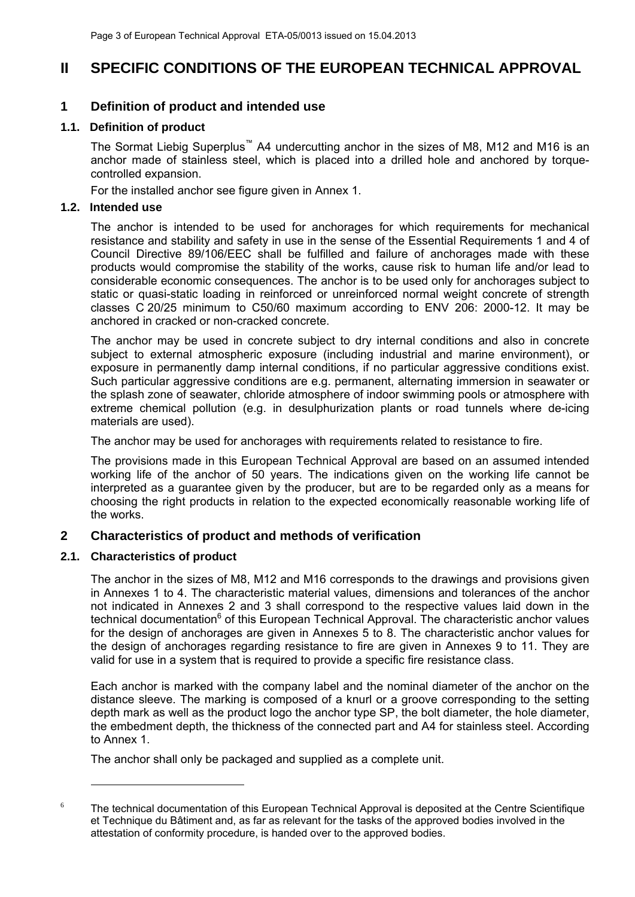### **II SPECIFIC CONDITIONS OF THE EUROPEAN TECHNICAL APPROVAL**

### **1 Definition of product and intended use**

### **1.1. Definition of product**

The Sormat Liebig Superplus<sup>™</sup> A4 undercutting anchor in the sizes of M8, M12 and M16 is an anchor made of stainless steel, which is placed into a drilled hole and anchored by torquecontrolled expansion.

For the installed anchor see figure given in Annex 1.

### **1.2. Intended use**

The anchor is intended to be used for anchorages for which requirements for mechanical resistance and stability and safety in use in the sense of the Essential Requirements 1 and 4 of Council Directive 89/106/EEC shall be fulfilled and failure of anchorages made with these products would compromise the stability of the works, cause risk to human life and/or lead to considerable economic consequences. The anchor is to be used only for anchorages subject to static or quasi-static loading in reinforced or unreinforced normal weight concrete of strength classes C 20/25 minimum to C50/60 maximum according to ENV 206: 2000-12. It may be anchored in cracked or non-cracked concrete.

The anchor may be used in concrete subject to dry internal conditions and also in concrete subject to external atmospheric exposure (including industrial and marine environment), or exposure in permanently damp internal conditions, if no particular aggressive conditions exist. Such particular aggressive conditions are e.g. permanent, alternating immersion in seawater or the splash zone of seawater, chloride atmosphere of indoor swimming pools or atmosphere with extreme chemical pollution (e.g. in desulphurization plants or road tunnels where de-icing materials are used).

The anchor may be used for anchorages with requirements related to resistance to fire.

The provisions made in this European Technical Approval are based on an assumed intended working life of the anchor of 50 years. The indications given on the working life cannot be interpreted as a guarantee given by the producer, but are to be regarded only as a means for choosing the right products in relation to the expected economically reasonable working life of the works.

### **2 Characteristics of product and methods of verification**

### **2.1. Characteristics of product**

-

The anchor in the sizes of M8, M12 and M16 corresponds to the drawings and provisions given in Annexes 1 to 4. The characteristic material values, dimensions and tolerances of the anchor not indicated in Annexes 2 and 3 shall correspond to the respective values laid down in the technical documentation<sup>6</sup> of this European Technical Approval. The characteristic anchor values for the design of anchorages are given in Annexes 5 to 8. The characteristic anchor values for the design of anchorages regarding resistance to fire are given in Annexes 9 to 11. They are valid for use in a system that is required to provide a specific fire resistance class.

Each anchor is marked with the company label and the nominal diameter of the anchor on the distance sleeve. The marking is composed of a knurl or a groove corresponding to the setting depth mark as well as the product logo the anchor type SP, the bolt diameter, the hole diameter, the embedment depth, the thickness of the connected part and A4 for stainless steel. According to Annex 1.

The anchor shall only be packaged and supplied as a complete unit.

 $6$  The technical documentation of this European Technical Approval is deposited at the Centre Scientifique et Technique du Bâtiment and, as far as relevant for the tasks of the approved bodies involved in the attestation of conformity procedure, is handed over to the approved bodies.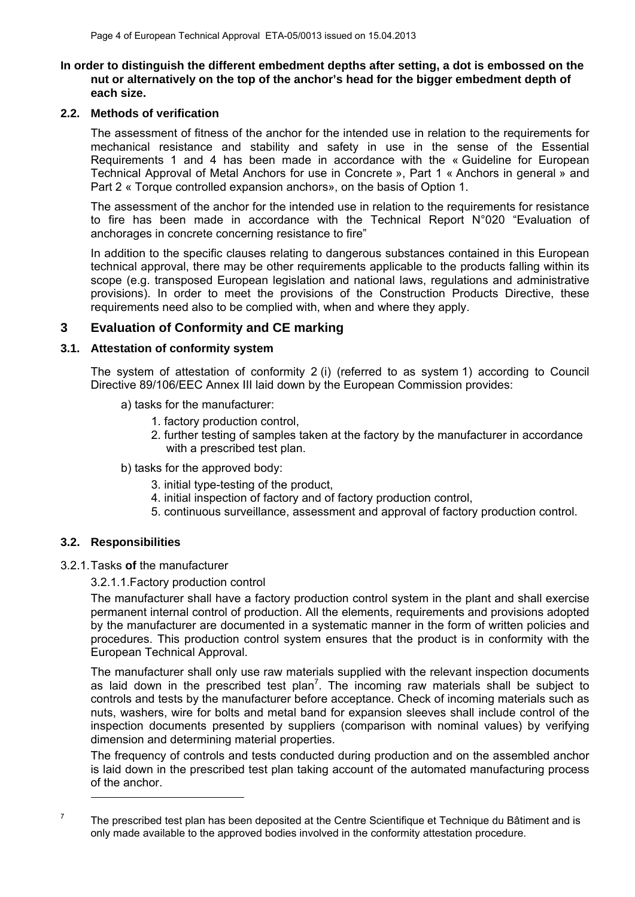### **In order to distinguish the different embedment depths after setting, a dot is embossed on the nut or alternatively on the top of the anchor's head for the bigger embedment depth of each size.**

### **2.2. Methods of verification**

The assessment of fitness of the anchor for the intended use in relation to the requirements for mechanical resistance and stability and safety in use in the sense of the Essential Requirements 1 and 4 has been made in accordance with the « Guideline for European Technical Approval of Metal Anchors for use in Concrete », Part 1 « Anchors in general » and Part 2 « Torque controlled expansion anchors», on the basis of Option 1.

The assessment of the anchor for the intended use in relation to the requirements for resistance to fire has been made in accordance with the Technical Report N°020 "Evaluation of anchorages in concrete concerning resistance to fire"

In addition to the specific clauses relating to dangerous substances contained in this European technical approval, there may be other requirements applicable to the products falling within its scope (e.g. transposed European legislation and national laws, regulations and administrative provisions). In order to meet the provisions of the Construction Products Directive, these requirements need also to be complied with, when and where they apply.

### **3 Evaluation of Conformity and CE marking**

### **3.1. Attestation of conformity system**

The system of attestation of conformity 2 (i) (referred to as system 1) according to Council Directive 89/106/EEC Annex III laid down by the European Commission provides:

- a) tasks for the manufacturer:
	- 1. factory production control,
	- 2. further testing of samples taken at the factory by the manufacturer in accordance with a prescribed test plan.
- b) tasks for the approved body:
	- 3. initial type-testing of the product,
	- 4. initial inspection of factory and of factory production control,
	- 5. continuous surveillance, assessment and approval of factory production control.

### **3.2. Responsibilities**

3.2.1. Tasks **of** the manufacturer

3.2.1.1.Factory production control

The manufacturer shall have a factory production control system in the plant and shall exercise permanent internal control of production. All the elements, requirements and provisions adopted by the manufacturer are documented in a systematic manner in the form of written policies and procedures. This production control system ensures that the product is in conformity with the European Technical Approval.

The manufacturer shall only use raw materials supplied with the relevant inspection documents as laid down in the prescribed test plan<sup>7</sup>. The incoming raw materials shall be subject to controls and tests by the manufacturer before acceptance. Check of incoming materials such as nuts, washers, wire for bolts and metal band for expansion sleeves shall include control of the inspection documents presented by suppliers (comparison with nominal values) by verifying dimension and determining material properties.

The frequency of controls and tests conducted during production and on the assembled anchor is laid down in the prescribed test plan taking account of the automated manufacturing process of the anchor.

1

<sup>7</sup>

The prescribed test plan has been deposited at the Centre Scientifique et Technique du Bâtiment and is only made available to the approved bodies involved in the conformity attestation procedure.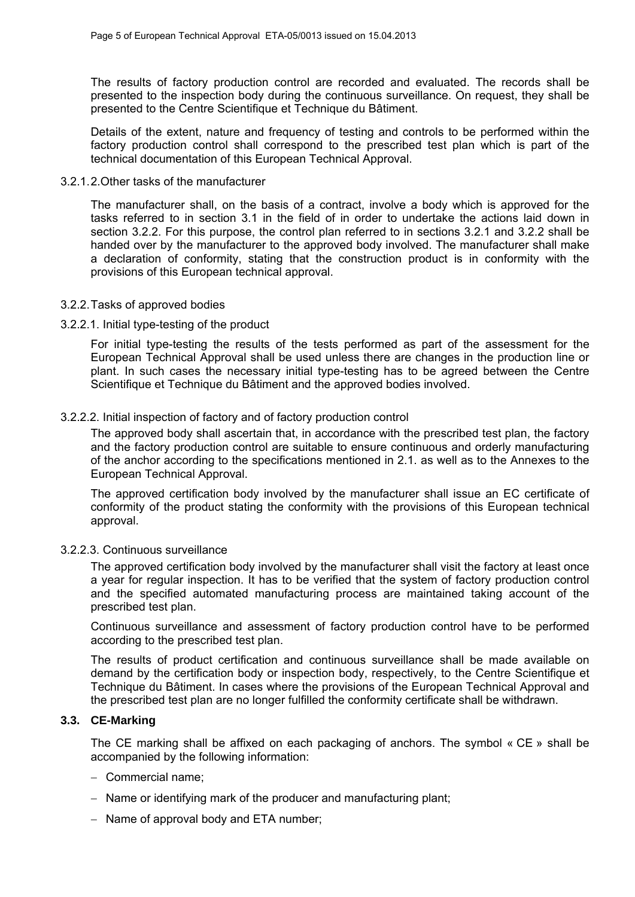The results of factory production control are recorded and evaluated. The records shall be presented to the inspection body during the continuous surveillance. On request, they shall be presented to the Centre Scientifique et Technique du Bâtiment.

Details of the extent, nature and frequency of testing and controls to be performed within the factory production control shall correspond to the prescribed test plan which is part of the technical documentation of this European Technical Approval.

### 3.2.1. 2.Other tasks of the manufacturer

The manufacturer shall, on the basis of a contract, involve a body which is approved for the tasks referred to in section 3.1 in the field of in order to undertake the actions laid down in section 3.2.2. For this purpose, the control plan referred to in sections 3.2.1 and 3.2.2 shall be handed over by the manufacturer to the approved body involved. The manufacturer shall make a declaration of conformity, stating that the construction product is in conformity with the provisions of this European technical approval.

### 3.2.2. Tasks of approved bodies

### 3.2.2.1. Initial type-testing of the product

For initial type-testing the results of the tests performed as part of the assessment for the European Technical Approval shall be used unless there are changes in the production line or plant. In such cases the necessary initial type-testing has to be agreed between the Centre Scientifique et Technique du Bâtiment and the approved bodies involved.

### 3.2.2.2. Initial inspection of factory and of factory production control

The approved body shall ascertain that, in accordance with the prescribed test plan, the factory and the factory production control are suitable to ensure continuous and orderly manufacturing of the anchor according to the specifications mentioned in 2.1. as well as to the Annexes to the European Technical Approval.

The approved certification body involved by the manufacturer shall issue an EC certificate of conformity of the product stating the conformity with the provisions of this European technical approval.

### 3.2.2.3. Continuous surveillance

The approved certification body involved by the manufacturer shall visit the factory at least once a year for regular inspection. It has to be verified that the system of factory production control and the specified automated manufacturing process are maintained taking account of the prescribed test plan.

Continuous surveillance and assessment of factory production control have to be performed according to the prescribed test plan.

The results of product certification and continuous surveillance shall be made available on demand by the certification body or inspection body, respectively, to the Centre Scientifique et Technique du Bâtiment. In cases where the provisions of the European Technical Approval and the prescribed test plan are no longer fulfilled the conformity certificate shall be withdrawn.

### **3.3. CE-Marking**

The CE marking shall be affixed on each packaging of anchors. The symbol « CE » shall be accompanied by the following information:

- Commercial name:
- Name or identifying mark of the producer and manufacturing plant;
- $-$  Name of approval body and ETA number;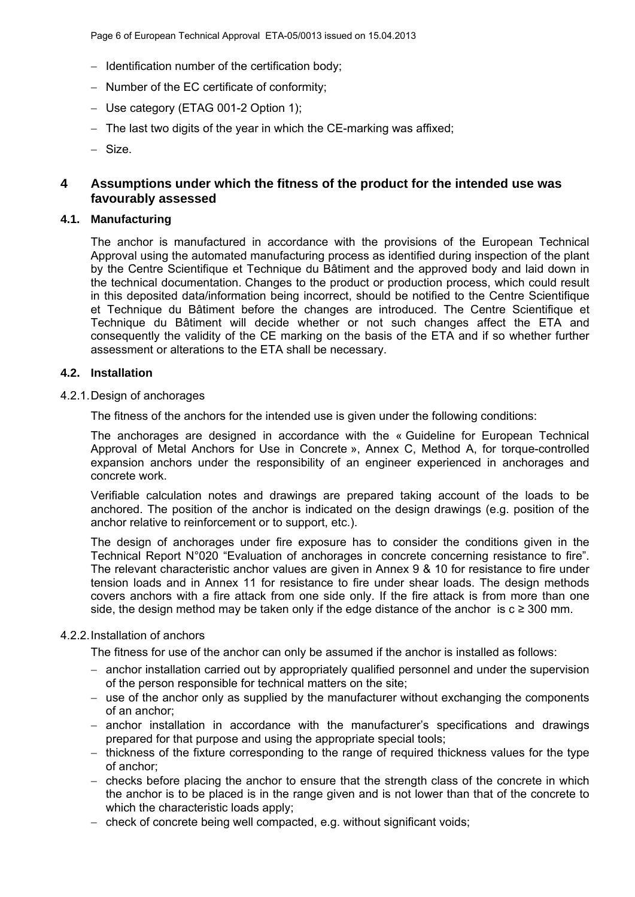- $-$  Identification number of the certification body;
- Number of the EC certificate of conformity;
- Use category (ETAG 001-2 Option 1);
- $-$  The last two digits of the year in which the CE-marking was affixed;
- Size.

### **4 Assumptions under which the fitness of the product for the intended use was favourably assessed**

### **4.1. Manufacturing**

The anchor is manufactured in accordance with the provisions of the European Technical Approval using the automated manufacturing process as identified during inspection of the plant by the Centre Scientifique et Technique du Bâtiment and the approved body and laid down in the technical documentation. Changes to the product or production process, which could result in this deposited data/information being incorrect, should be notified to the Centre Scientifique et Technique du Bâtiment before the changes are introduced. The Centre Scientifique et Technique du Bâtiment will decide whether or not such changes affect the ETA and consequently the validity of the CE marking on the basis of the ETA and if so whether further assessment or alterations to the ETA shall be necessary.

### **4.2. Installation**

4.2.1. Design of anchorages

The fitness of the anchors for the intended use is given under the following conditions:

The anchorages are designed in accordance with the « Guideline for European Technical Approval of Metal Anchors for Use in Concrete », Annex C, Method A, for torque-controlled expansion anchors under the responsibility of an engineer experienced in anchorages and concrete work.

Verifiable calculation notes and drawings are prepared taking account of the loads to be anchored. The position of the anchor is indicated on the design drawings (e.g. position of the anchor relative to reinforcement or to support, etc.).

The design of anchorages under fire exposure has to consider the conditions given in the Technical Report N°020 "Evaluation of anchorages in concrete concerning resistance to fire". The relevant characteristic anchor values are given in Annex 9 & 10 for resistance to fire under tension loads and in Annex 11 for resistance to fire under shear loads. The design methods covers anchors with a fire attack from one side only. If the fire attack is from more than one side, the design method may be taken only if the edge distance of the anchor is  $c \ge 300$  mm.

### 4.2.2. Installation of anchors

The fitness for use of the anchor can only be assumed if the anchor is installed as follows:

- anchor installation carried out by appropriately qualified personnel and under the supervision of the person responsible for technical matters on the site;
- $-$  use of the anchor only as supplied by the manufacturer without exchanging the components of an anchor;
- anchor installation in accordance with the manufacturer's specifications and drawings prepared for that purpose and using the appropriate special tools;
- $-$  thickness of the fixture corresponding to the range of required thickness values for the type of anchor;
- checks before placing the anchor to ensure that the strength class of the concrete in which the anchor is to be placed is in the range given and is not lower than that of the concrete to which the characteristic loads apply;
- $-$  check of concrete being well compacted, e.g. without significant voids;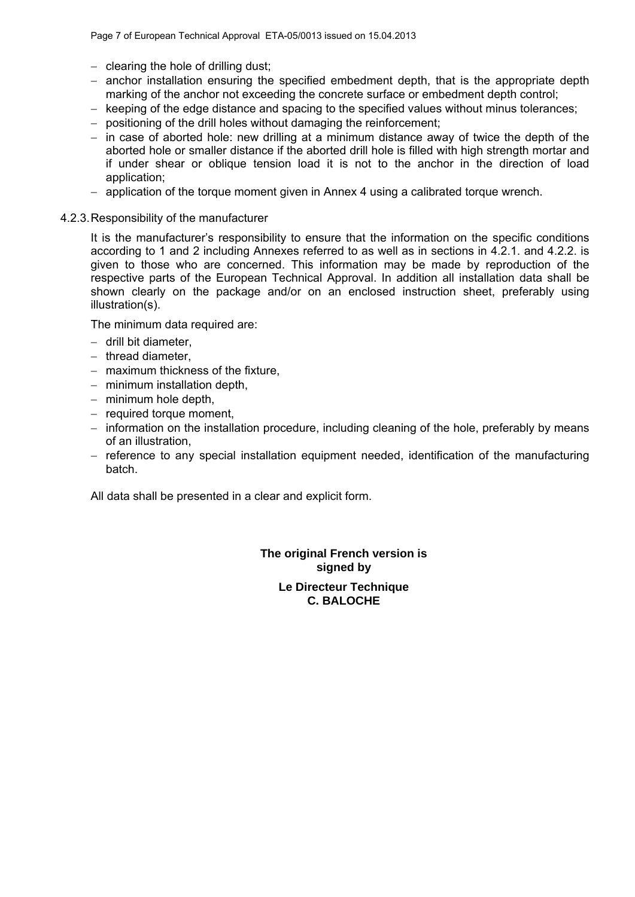- $-$  clearing the hole of drilling dust;
- $-$  anchor installation ensuring the specified embedment depth, that is the appropriate depth marking of the anchor not exceeding the concrete surface or embedment depth control;
- keeping of the edge distance and spacing to the specified values without minus tolerances;
- positioning of the drill holes without damaging the reinforcement;
- $-$  in case of aborted hole: new drilling at a minimum distance away of twice the depth of the aborted hole or smaller distance if the aborted drill hole is filled with high strength mortar and if under shear or oblique tension load it is not to the anchor in the direction of load application;
- $-$  application of the torque moment given in Annex 4 using a calibrated torque wrench.

### 4.2.3. Responsibility of the manufacturer

It is the manufacturer's responsibility to ensure that the information on the specific conditions according to 1 and 2 including Annexes referred to as well as in sections in 4.2.1. and 4.2.2. is given to those who are concerned. This information may be made by reproduction of the respective parts of the European Technical Approval. In addition all installation data shall be shown clearly on the package and/or on an enclosed instruction sheet, preferably using illustration(s).

The minimum data required are:

- $-$  drill bit diameter.
- $-$  thread diameter.
- maximum thickness of the fixture.
- $-$  minimum installation depth,
- $-$  minimum hole depth,
- $-$  required torque moment,
- $-$  information on the installation procedure, including cleaning of the hole, preferably by means of an illustration,
- reference to any special installation equipment needed, identification of the manufacturing batch.

All data shall be presented in a clear and explicit form.

**The original French version is signed by Le Directeur Technique C. BALOCHE**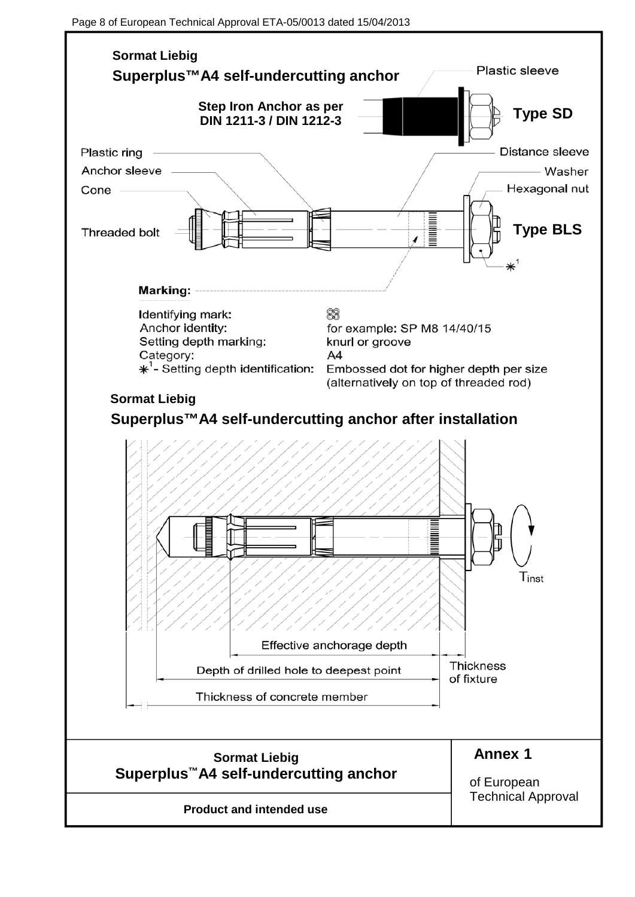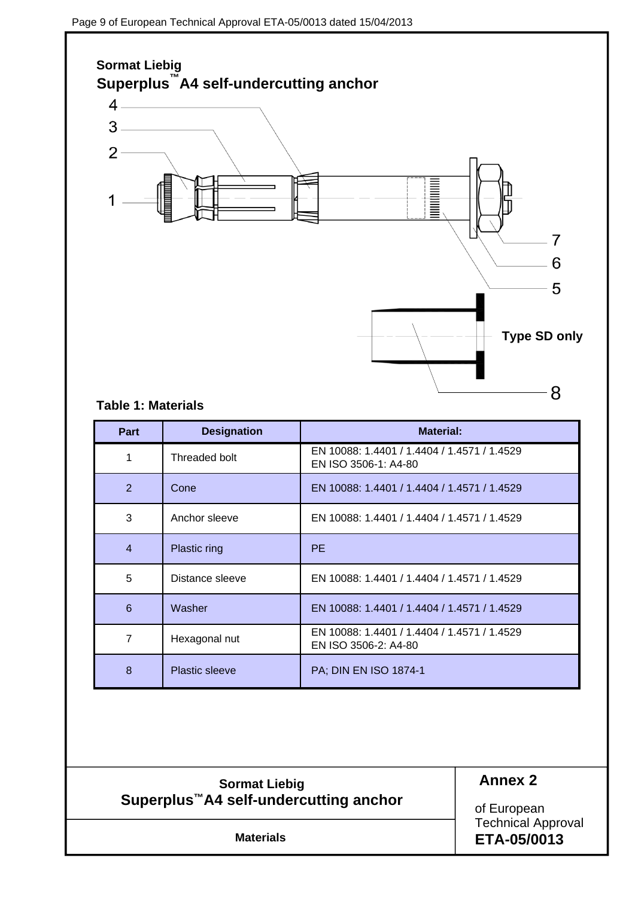

### **Table 1: Materials**

| Part           | <b>Designation</b>    | <b>Material:</b>                                                    |
|----------------|-----------------------|---------------------------------------------------------------------|
|                | Threaded bolt         | EN 10088: 1.4401 / 1.4404 / 1.4571 / 1.4529<br>EN ISO 3506-1: A4-80 |
| 2              | Cone                  | EN 10088: 1.4401 / 1.4404 / 1.4571 / 1.4529                         |
| 3              | Anchor sleeve         | EN 10088: 1.4401 / 1.4404 / 1.4571 / 1.4529                         |
| $\overline{4}$ | Plastic ring          | <b>PE</b>                                                           |
| 5              | Distance sleeve       | EN 10088: 1.4401 / 1.4404 / 1.4571 / 1.4529                         |
| 6              | Washer                | EN 10088: 1.4401 / 1.4404 / 1.4571 / 1.4529                         |
| 7              | Hexagonal nut         | EN 10088: 1.4401 / 1.4404 / 1.4571 / 1.4529<br>EN ISO 3506-2: A4-80 |
| 8              | <b>Plastic sleeve</b> | PA; DIN EN ISO 1874-1                                               |

### **Sormat Liebig Superplus™A4 self-undercutting anchor**

### **Annex 2**

of European Technical Approval **Materials ETA-05/0013**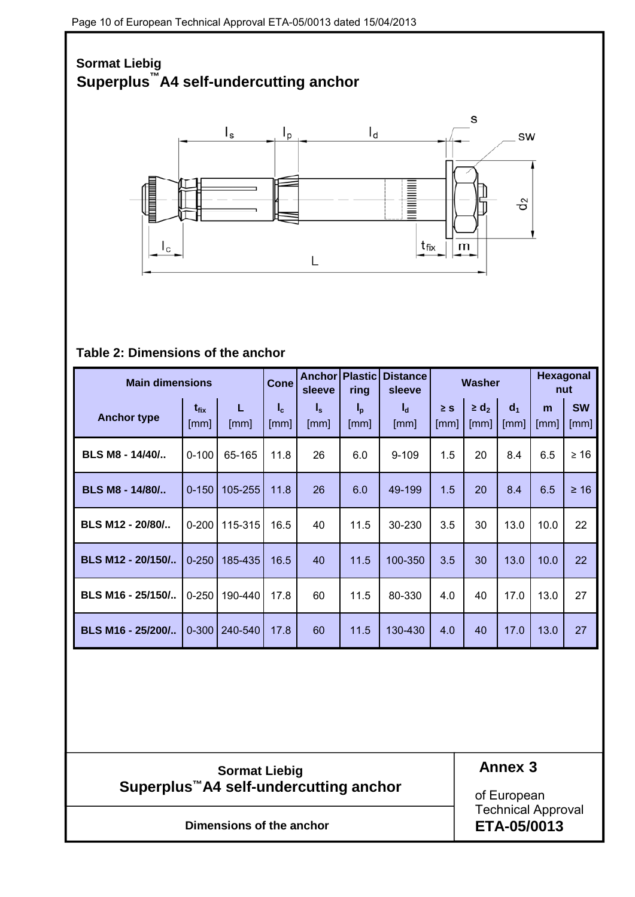# **Sormat Liebig Superplus™A4 self-undercutting anchor**  s  $I_{s}$  $I_d$  $I_p$ sw **Manufacturer** ಕೆ  $\mathsf{I}_\mathsf{c}$  $t_{\sf fix}$  ${\sf m}$ L

### **Table 2: Dimensions of the anchor**

| <b>Main dimensions</b> |                                 |           | <b>Cone</b>   | Anchorl<br>sleeve                               | <b>Plastic</b><br>ring        | <b>Distance</b><br>sleeve |                  | Washer             |                        |           | <b>Hexagonal</b><br>nut |  |  |
|------------------------|---------------------------------|-----------|---------------|-------------------------------------------------|-------------------------------|---------------------------|------------------|--------------------|------------------------|-----------|-------------------------|--|--|
| <b>Anchor type</b>     | $t_{fix}$<br>$\lceil mm \rceil$ | L<br>[mm] | $I_c$<br>[mm] | $\mathsf{I}_{\mathsf{s}}$<br>$\lceil mm \rceil$ | $I_p$<br>$\lfloor mm \rfloor$ | $I_d$<br>[mm]             | $\geq$ S<br>[mm] | $\geq d_2$<br>[mm] | d <sub>1</sub><br>[mm] | m<br>[mm] | <b>SW</b><br>[mm]       |  |  |
| BLS M8 - 14/40/        | $0 - 100$                       | 65-165    | 11.8          | 26                                              | 6.0                           | $9 - 109$                 | 1.5              | 20                 | 8.4                    | 6.5       | $\geq 16$               |  |  |
| BLS M8 - 14/80/        | $0 - 150$                       | 105-255   | 11.8          | 26                                              | 6.0                           | 49-199                    | 1.5              | 20                 | 8.4                    | 6.5       | $\geq 16$               |  |  |
| BLS M12 - 20/80/       | $0 - 200$                       | 115-315   | 16.5          | 40                                              | 11.5                          | 30-230                    | 3.5              | 30                 | 13.0                   | 10.0      | 22                      |  |  |
| BLS M12 - 20/150/      | $0 - 250$                       | 185-435   | 16.5          | 40                                              | 11.5                          | 100-350                   | 3.5              | 30                 | 13.0                   | 10.0      | 22                      |  |  |
| BLS M16 - 25/150/      | $0 - 250$                       | 190-440   | 17.8          | 60                                              | 11.5                          | 80-330                    | 4.0              | 40                 | 17.0                   | 13.0      | 27                      |  |  |
| BLS M16 - 25/200/      | $0 - 300$                       | 240-540   | 17.8          | 60                                              | 11.5                          | 130-430                   | 4.0              | 40                 | 17.0                   | 13.0      | 27                      |  |  |

**Sormat Liebig Superplus™A4 self-undercutting anchor**  **Annex 3**

of European Technical Approval **ETA-05/0013**

**Dimensions of the anchor**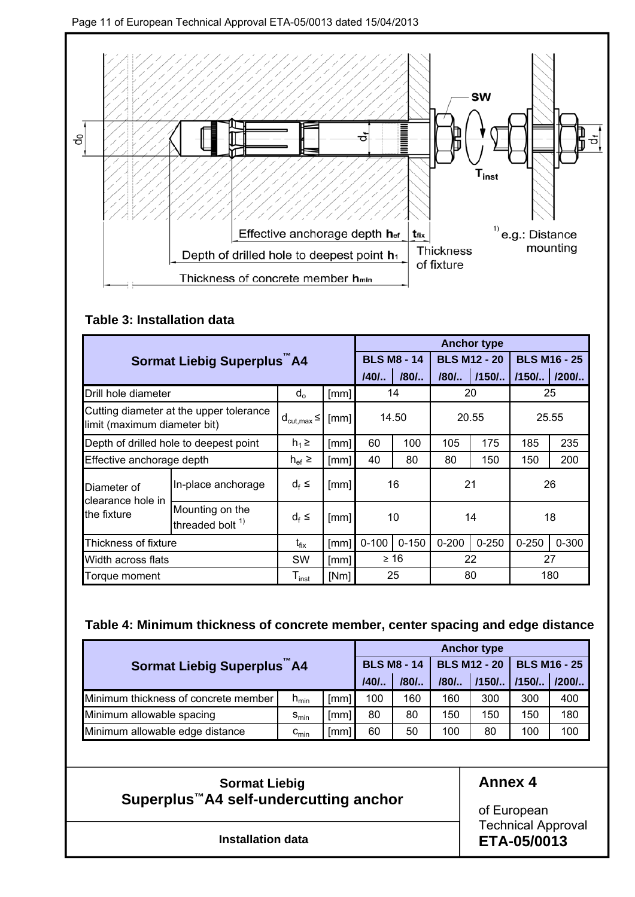

### **Table 3: Installation data**

|                                                                         |                                        |                           |      |           |                    |           | <b>Anchor type</b>  |             |                     |
|-------------------------------------------------------------------------|----------------------------------------|---------------------------|------|-----------|--------------------|-----------|---------------------|-------------|---------------------|
|                                                                         | Sormat Liebig Superplus A4             |                           |      |           | <b>BLS M8 - 14</b> |           | <b>BLS M12 - 20</b> |             | <b>BLS M16 - 25</b> |
|                                                                         |                                        |                           |      | /40/      | /80/               | $/80/$    | $1/150/$            | /150/ /200/ |                     |
| Drill hole diameter                                                     |                                        | $d_{o}$                   | [mm] |           | 14                 |           | 20                  |             | 25                  |
| Cutting diameter at the upper tolerance<br>limit (maximum diameter bit) |                                        | $d_{\text{cut,max}} \leq$ | [mm] | 14.50     |                    | 20.55     |                     | 25.55       |                     |
| Depth of drilled hole to deepest point                                  |                                        | $h_1 \geq$                | [mm] | 60        | 100                | 105       | 175                 | 185         | 235                 |
| Effective anchorage depth                                               |                                        | $h_{\text{ef}}$ $\geq$    | [mm] | 40        | 80                 | 80        | 150                 | 150         | 200                 |
| Diameter of                                                             | In-place anchorage                     | $d_f \leq$                | [mm] | 16        |                    | 21        |                     |             | 26                  |
| clearance hole in<br>the fixture                                        | Mounting on the<br>threaded bolt $1$ ) | $d_f \leq$                | [mm] | 10        |                    |           | 14                  | 18          |                     |
| Thickness of fixture                                                    |                                        | $t_{fix}$                 | [mm] | $0 - 100$ | $0 - 150$          | $0 - 200$ | $0 - 250$           | $0 - 250$   | $0 - 300$           |
| Width across flats                                                      |                                        | <b>SW</b>                 | [mm] |           | $\geq 16$          | 22        |                     | 27          |                     |
| Torque moment                                                           |                                        | ${\mathsf T}_{\sf inst}$  | [Nm] |           | 25                 |           | 80                  | 180         |                     |

### **Table 4: Minimum thickness of concrete member, center spacing and edge distance**

|                                      | <b>Anchor type</b> |                    |      |                     |                     |        |     |     |  |  |
|--------------------------------------|--------------------|--------------------|------|---------------------|---------------------|--------|-----|-----|--|--|
| Sormat Liebig Superplus A4           |                    | <b>BLS M8 - 14</b> |      | <b>BLS M12 - 20</b> | <b>BLS M16 - 25</b> |        |     |     |  |  |
|                                      | /40/               | /80/               | /80/ | $/150/$             | $/150/$             | $1200$ |     |     |  |  |
| Minimum thickness of concrete member | $h_{min}$          | [mm]               | 100  | 160                 | 160                 | 300    | 300 | 400 |  |  |
| Minimum allowable spacing            | $S_{min}$          | [mm]               | 80   | 80                  | 150                 | 150    | 150 | 180 |  |  |
| Minimum allowable edge distance      | $c_{\text{min}}$   | [mm]               | 60   | 50                  | 100                 | 80     | 100 | 100 |  |  |

**Sormat Liebig Superplus™A4 self-undercutting anchor** 

### **Annex 4**

of European Technical Approval **ETA-05/0013**

**Installation data**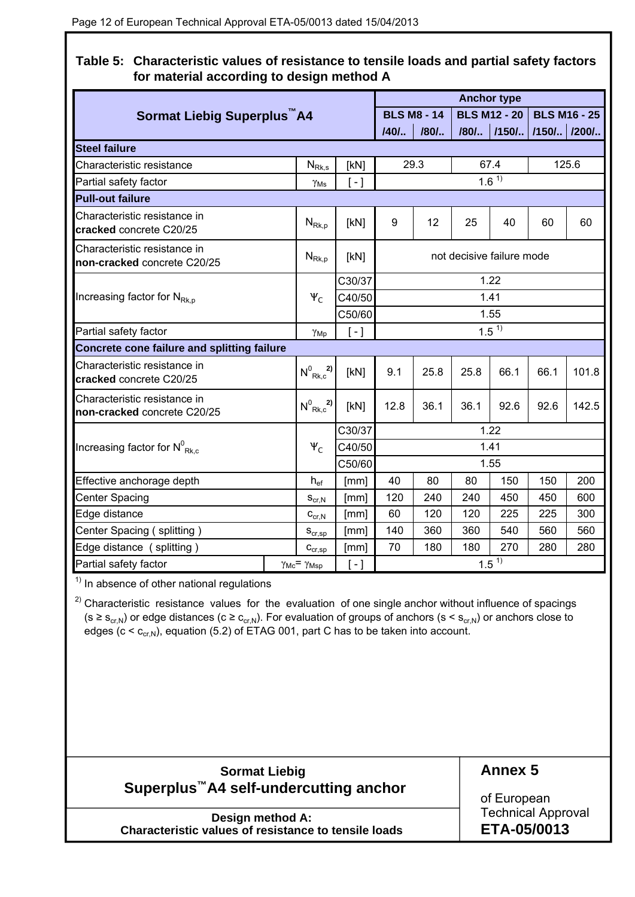**Table 5: Characteristic values of resistance to tensile loads and partial safety factors for material according to design method A** 

|                                                             |        |                                            |                     |                           |                    |      | <b>Anchor type</b>        |      |                     |  |  |  |
|-------------------------------------------------------------|--------|--------------------------------------------|---------------------|---------------------------|--------------------|------|---------------------------|------|---------------------|--|--|--|
| Sormat Liebig Superplus A4                                  |        |                                            |                     |                           | <b>BLS M8 - 14</b> |      | <b>BLS M12 - 20</b>       |      | <b>BLS M16 - 25</b> |  |  |  |
|                                                             |        |                                            |                     | $140/$                    | /80/               |      | /80/  /150/  /150/  /200/ |      |                     |  |  |  |
| <b>Steel failure</b>                                        |        |                                            |                     |                           |                    |      |                           |      |                     |  |  |  |
| Characteristic resistance                                   |        | $N_{Rk,s}$                                 | [kN]                | 29.3                      |                    |      | 67.4                      |      | 125.6               |  |  |  |
| Partial safety factor                                       |        | $\gamma_{\rm Ms}$                          | $[-]$               | $1.6^{\overline{1}}$      |                    |      |                           |      |                     |  |  |  |
| <b>Pull-out failure</b>                                     |        |                                            |                     |                           |                    |      |                           |      |                     |  |  |  |
| Characteristic resistance in<br>cracked concrete C20/25     |        | $N_{\mathsf{Rk},\mathsf{p}}$               | [kN]                | 9                         | 12                 | 25   | 40                        | 60   | 60                  |  |  |  |
| Characteristic resistance in<br>non-cracked concrete C20/25 |        | $N_{\text{Rk},p}$                          | [kN]                | not decisive failure mode |                    |      |                           |      |                     |  |  |  |
|                                                             | C30/37 |                                            |                     |                           |                    | 1.22 |                           |      |                     |  |  |  |
| Increasing factor for $N_{Rk,p}$                            |        | $\Psi_C$                                   | C40/50              |                           |                    |      | 1.41                      |      |                     |  |  |  |
|                                                             |        |                                            | C50/60              |                           |                    |      | 1.55                      |      |                     |  |  |  |
| Partial safety factor<br>$\left[ -\right]$<br>$\gamma_{Mp}$ |        |                                            |                     |                           |                    |      | 1.5 <sup>1</sup>          |      |                     |  |  |  |
| Concrete cone failure and splitting failure                 |        |                                            |                     |                           |                    |      |                           |      |                     |  |  |  |
| Characteristic resistance in<br>cracked concrete C20/25     |        | $N^0$ <sub>Rk,c</sub> <sup>2</sup> )       | [kN]                | 9.1                       | 25.8               | 25.8 | 66.1                      | 66.1 | 101.8               |  |  |  |
| Characteristic resistance in<br>non-cracked concrete C20/25 |        | $N^0$ <sub>Rk,c</sub> <sup>2</sup> )       | [kN]                | 12.8                      | 36.1               | 36.1 | 92.6                      | 92.6 | 142.5               |  |  |  |
|                                                             |        |                                            | C30/37              |                           |                    |      | 1.22                      |      |                     |  |  |  |
| Increasing factor for $N^0_{Rk,c}$                          |        | $\Psi_C$                                   | C40/50              |                           |                    |      | 1.41                      |      |                     |  |  |  |
|                                                             |        |                                            | C50/60              |                           |                    |      | 1.55                      |      |                     |  |  |  |
| Effective anchorage depth                                   |        | $h_{ef}$                                   | [mm]                | 40                        | 80                 | 80   | 150                       | 150  | 200                 |  |  |  |
| <b>Center Spacing</b>                                       |        | $\mathbf{S}_{\mathrm{cr},\mathrm{N}}$      | [mm]                | 120                       | 240                | 240  | 450                       | 450  | 600                 |  |  |  |
| Edge distance                                               |        | $C_{\text{cr},N}$                          | [mm]                | 60                        | 120                | 120  | 225                       | 225  | 300                 |  |  |  |
| Center Spacing (splitting)                                  |        | $\mathbf{S}_{\text{cr,sp}}$                | [mm]                | 140                       | 360                | 360  | 540                       | 560  | 560                 |  |  |  |
| Edge distance (splitting)                                   |        | $\mathbf{C}_{\text{cr,sp}}$                | [mm]                | 70                        | 180                | 180  | 270                       | 280  | 280                 |  |  |  |
| Partial safety factor                                       |        | $\gamma_{\text{Mc}} = \gamma_{\text{Msp}}$ | $\lbrack - \rbrack$ |                           |                    |      | $1.5^{11}$                |      |                     |  |  |  |

 $<sup>1</sup>$  In absence of other national regulations</sup>

(s  $\geq$  s<sub>cr,N</sub>) or edge distances (c  $\geq$  c<sub>cr,N</sub>). For evaluation of groups of anchors (s < s<sub>cr,N</sub>) or anchors close to  $^{2)}$  Characteristic resistance values for the evaluation of one single anchor without influence of spacings edges ( $c < c_{cr,N}$ ), equation (5.2) of ETAG 001, part C has to be taken into account.

| <b>Sormat Liebig</b>                               | <b>Annex</b> |
|----------------------------------------------------|--------------|
| Superplus <sup>™</sup> A4 self-undercutting anchor | of Euro      |
|                                                    |              |

**Design method A: Characteristic values of resistance to tensile loads** **Annex 5**

pean Technical Approval **ETA-05/0013**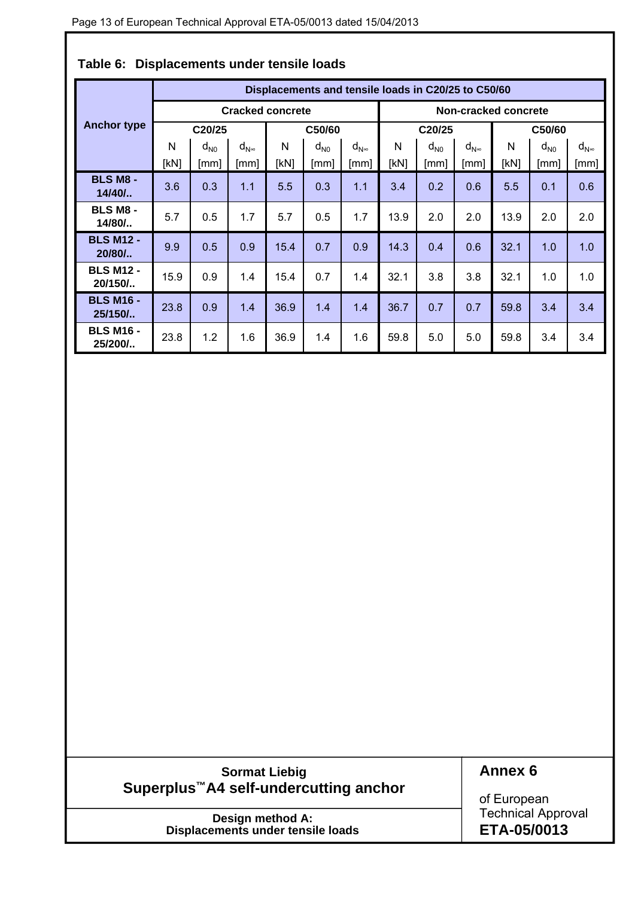|                              | Displacements and tensile loads in C20/25 to C50/60 |          |                                    |      |          |                  |                      |                            |                  |      |          |                  |  |  |
|------------------------------|-----------------------------------------------------|----------|------------------------------------|------|----------|------------------|----------------------|----------------------------|------------------|------|----------|------------------|--|--|
|                              | <b>Cracked concrete</b>                             |          |                                    |      |          |                  | Non-cracked concrete |                            |                  |      |          |                  |  |  |
| <b>Anchor type</b>           | C20/25                                              |          |                                    |      | C50/60   |                  |                      | C20/25                     |                  |      | C50/60   |                  |  |  |
|                              | N                                                   | $d_{N0}$ | $\mathsf{d}_{\mathsf{N}^{\infty}}$ | N    | $d_{N0}$ | $d_{N^{\infty}}$ | N                    | $\mathsf{d}_{\mathsf{N}0}$ | $d_{N^{\infty}}$ | N    | $d_{N0}$ | $d_{N^{\infty}}$ |  |  |
|                              | [kN]                                                | [mm]     | [mm]                               | [kN] | [mm]     | [mm]             | [kN]                 | [mm]                       | [mm]             | [kN] | [mm]     | [mm]             |  |  |
| <b>BLS M8 -</b><br>$14/40/$  | 3.6                                                 | 0.3      | 1.1                                | 5.5  | 0.3      | 1.1              | 3.4                  | 0.2                        | 0.6              | 5.5  | 0.1      | 0.6              |  |  |
| <b>BLS M8 -</b><br>$14/80/$  | 5.7                                                 | 0.5      | 1.7                                | 5.7  | 0.5      | 1.7              | 13.9                 | 2.0                        | 2.0              | 13.9 | 2.0      | 2.0              |  |  |
| <b>BLS M12 -</b><br>$20/80/$ | 9.9                                                 | 0.5      | 0.9                                | 15.4 | 0.7      | 0.9              | 14.3                 | 0.4                        | 0.6              | 32.1 | 1.0      | 1.0              |  |  |
| <b>BLS M12 -</b><br>20/150/  | 15.9                                                | 0.9      | 1.4                                | 15.4 | 0.7      | 1.4              | 32.1                 | 3.8                        | 3.8              | 32.1 | 1.0      | 1.0              |  |  |
| <b>BLS M16 -</b><br>25/150/  | 23.8                                                | 0.9      | 1.4                                | 36.9 | 1.4      | 1.4              | 36.7                 | 0.7                        | 0.7              | 59.8 | 3.4      | 3.4              |  |  |
| <b>BLS M16 -</b><br>25/200/  | 23.8                                                | 1.2      | 1.6                                | 36.9 | 1.4      | 1.6              | 59.8                 | 5.0                        | 5.0              | 59.8 | 3.4      | 3.4              |  |  |

### **Table 6: Displacements under tensile loads**

### **Sormat Liebig Superplus™A4 self-undercutting anchor**

**Annex 6** 

**Design method A: Displacements under tensile loads** of European Technical Approval **ETA-05/0013**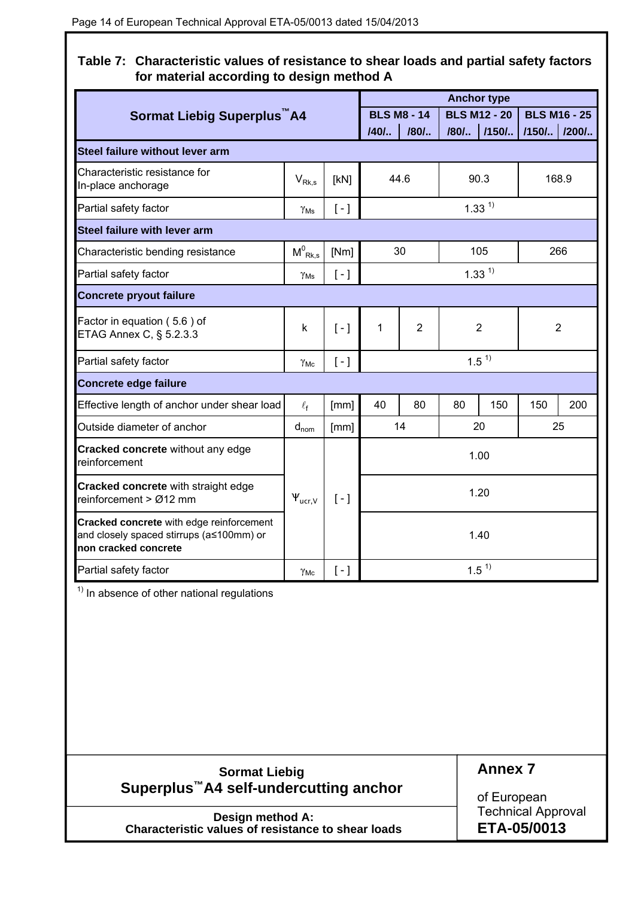**Table 7: Characteristic values of resistance to shear loads and partial safety factors for material according to design method A** 

|                                                                                                              |                                           |                     |      |                    | <b>Anchor type</b> |                     |                |                     |
|--------------------------------------------------------------------------------------------------------------|-------------------------------------------|---------------------|------|--------------------|--------------------|---------------------|----------------|---------------------|
| Sormat Liebig Superplus A4                                                                                   |                                           |                     |      | <b>BLS M8 - 14</b> |                    | <b>BLS M12 - 20</b> |                | <b>BLS M16 - 25</b> |
|                                                                                                              |                                           |                     | /40/ | /80/               | /80/               | $/150/$             | /150/   /200/  |                     |
| Steel failure without lever arm                                                                              |                                           |                     |      |                    |                    |                     |                |                     |
| Characteristic resistance for<br>In-place anchorage                                                          | $V_{\mathsf{Rk},\mathsf{s}}$              | [kN]                |      | 44.6               |                    | 90.3                |                | 168.9               |
| Partial safety factor                                                                                        | $\gamma_{\rm Ms}$                         | $[-]$               |      |                    |                    | $1.33^{1}$          |                |                     |
| Steel failure with lever arm                                                                                 |                                           |                     |      |                    |                    |                     |                |                     |
| Characteristic bending resistance                                                                            | $\mathsf{M}^0_{\ \mathsf{Rk},\mathsf{s}}$ | [Nm]                |      | 30                 |                    | 105                 |                | 266                 |
| Partial safety factor                                                                                        | $\gamma_{\rm Ms}$                         | $\lbrack - \rbrack$ |      |                    |                    | $1.33^{1}$          |                |                     |
| <b>Concrete pryout failure</b>                                                                               |                                           |                     |      |                    |                    |                     |                |                     |
| Factor in equation (5.6) of<br>ETAG Annex C, § 5.2.3.3                                                       | k                                         | $[-]$               | 1    | $\overline{2}$     | $\overline{2}$     |                     | $\overline{2}$ |                     |
| Partial safety factor                                                                                        | $\gamma_{\text{Mc}}$                      | $[-]$               |      |                    |                    | 1.5 <sup>1</sup>    |                |                     |
| <b>Concrete edge failure</b>                                                                                 |                                           |                     |      |                    |                    |                     |                |                     |
| Effective length of anchor under shear load                                                                  | $\ell_{\mathsf{f}}$                       | [mm]                | 40   | 80                 | 80                 | 150                 | 150            | 200                 |
| Outside diameter of anchor                                                                                   | $d_{nom}$                                 | [mm]                |      | 14                 |                    | 20                  |                | 25                  |
| Cracked concrete without any edge<br>reinforcement                                                           |                                           |                     |      |                    |                    | 1.00                |                |                     |
| Cracked concrete with straight edge<br>reinforcement > Ø12 mm                                                | $\Psi_{\text{ucr,V}}$                     | $[-]$               |      |                    |                    | 1.20                |                |                     |
| Cracked concrete with edge reinforcement<br>and closely spaced stirrups (a≤100mm) or<br>non cracked concrete |                                           |                     |      |                    |                    | 1.40                |                |                     |
| Partial safety factor                                                                                        | $\gamma_{MC}$                             | $[-]$               |      |                    |                    | 1.5 <sup>1</sup>    |                |                     |

 $\overline{1}$ <sup>1)</sup> In absence of other national regulations

| <b>Sormat Liebig</b>                               | <b>Annex 7</b>            |
|----------------------------------------------------|---------------------------|
| Superplus <sup>™</sup> A4 self-undercutting anchor | of European               |
| Design method A:                                   | <b>Technical Approval</b> |
| Characteristic values of resistance to shear loads | ETA-05/0013               |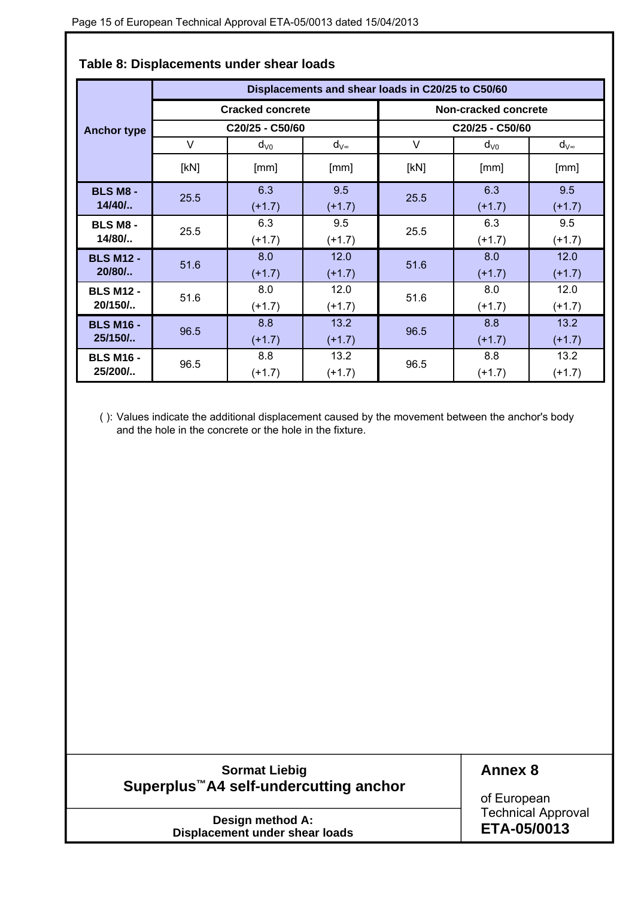|                    |      |                         |                | Displacements and shear loads in C20/25 to C50/60 |                      |                |
|--------------------|------|-------------------------|----------------|---------------------------------------------------|----------------------|----------------|
|                    |      | <b>Cracked concrete</b> |                |                                                   | Non-cracked concrete |                |
| <b>Anchor type</b> |      | C20/25 - C50/60         |                |                                                   | C20/25 - C50/60      |                |
|                    | V    | $d_{\rm V0}$            | $d_{V^\infty}$ | V                                                 | $d_{\rm V0}$         | $d_{V^\infty}$ |
|                    | [kN] | [mm]                    | [mm]           | [kN]                                              | [mm]                 | [mm]           |
| <b>BLS M8 -</b>    | 25.5 | 6.3                     | 9.5            | 25.5                                              | 6.3                  | 9.5            |
| $14/40/$           |      | $(+1.7)$                | $(+1.7)$       |                                                   | $(+1.7)$             | $(+1.7)$       |
| <b>BLS M8 -</b>    | 25.5 | 6.3                     | 9.5            | 25.5                                              | 6.3                  | 9.5            |
| 14/80/             |      | $(+1.7)$                | $(+1.7)$       |                                                   | $(+1.7)$             | $(+1.7)$       |
| <b>BLS M12 -</b>   | 51.6 | 8.0                     | 12.0           | 51.6                                              | 8.0                  | 12.0           |
| $20/80/$           |      | $(+1.7)$                | $(+1.7)$       |                                                   | $(+1.7)$             | $(+1.7)$       |
| <b>BLS M12 -</b>   | 51.6 | 8.0                     | 12.0           | 51.6                                              | 8.0                  | 12.0           |
| 20/150/            |      | $(+1.7)$                | $(+1.7)$       |                                                   | $(+1.7)$             | $(+1.7)$       |
| <b>BLS M16 -</b>   | 96.5 | 8.8                     | 13.2           | 96.5                                              | 8.8                  | 13.2           |
| 25/150/            |      | $(+1.7)$                | $(+1.7)$       |                                                   | $(+1.7)$             | $(+1.7)$       |
| <b>BLS M16 -</b>   | 96.5 | 8.8                     | 13.2           | 96.5                                              | 8.8                  | 13.2           |
| 25/200/            |      | $(+1.7)$                | $(+1.7)$       |                                                   | $(+1.7)$             | $(+1.7)$       |

### **Table 8: Displacements under shear loads**

( ): Values indicate the additional displacement caused by the movement between the anchor's body and the hole in the concrete or the hole in the fixture.

### **Sormat Liebig Superplus™A4 self-undercutting anchor**

**Annex 8**

**Design method A: Displacement under shear loads** of European Technical Approval **ETA-05/0013**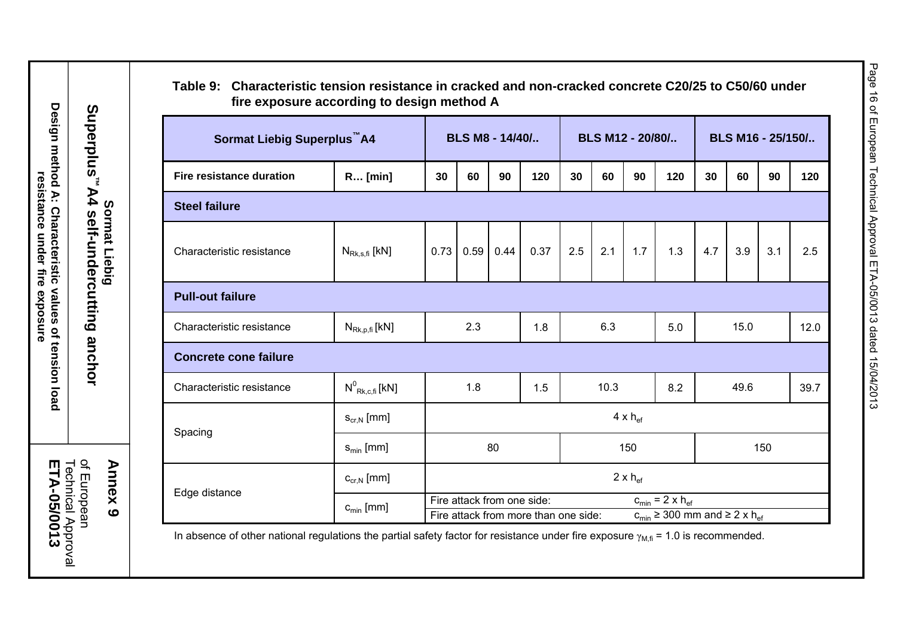| Sormat Liebig Superplus <sup>™</sup> A4 |                                  |      |     | BLS M8 - 14/40/            |                                      | BLS M12 - 20/80/ |      |                          |                                                                                      | BLS M16 - 25/150/ |      |     |      |
|-----------------------------------------|----------------------------------|------|-----|----------------------------|--------------------------------------|------------------|------|--------------------------|--------------------------------------------------------------------------------------|-------------------|------|-----|------|
| <b>Fire resistance duration</b>         | <b>R</b> [min]                   | 30   | 60  | 90                         | 120                                  | 30               | 60   | 90                       | 120                                                                                  | 30                | 60   | 90  | 120  |
| <b>Steel failure</b>                    |                                  |      |     |                            |                                      |                  |      |                          |                                                                                      |                   |      |     |      |
| Characteristic resistance               | $N_{Rk,s,fi}$ [kN]               | 0.73 |     | $0.59$ 0.44                | 0.37                                 | 2.5              | 2.1  | 1.7                      | 1.3                                                                                  | 4.7               | 3.9  | 3.1 | 2.5  |
| <b>Pull-out failure</b>                 |                                  |      |     |                            |                                      |                  |      |                          |                                                                                      |                   |      |     |      |
| Characteristic resistance               | $N_{\text{Rk},p,\text{fi}}$ [kN] |      | 2.3 |                            | 1.8                                  |                  | 6.3  |                          | 5.0                                                                                  |                   | 15.0 |     | 12.0 |
| <b>Concrete cone failure</b>            |                                  |      |     |                            |                                      |                  |      |                          |                                                                                      |                   |      |     |      |
| Characteristic resistance               | $N^0_{Rk,c,\text{fi}}$ [kN]      |      | 1.8 |                            | 1.5                                  |                  | 10.3 |                          | 8.2                                                                                  |                   | 49.6 |     | 39.7 |
|                                         | $S_{cr,N}$ [mm]                  |      |     |                            |                                      |                  |      | $4 \times h_{\text{ef}}$ |                                                                                      |                   |      |     |      |
| Spacing                                 | $s_{\min}$ [mm]                  |      |     | 80                         |                                      |                  |      | 150                      |                                                                                      |                   |      | 150 |      |
|                                         | $C_{cr,N}$ [mm]                  |      |     |                            |                                      |                  |      | $2 \times h_{\text{ef}}$ |                                                                                      |                   |      |     |      |
| Edge distance                           | $c_{\min}$ [mm]                  |      |     | Fire attack from one side: | Fire attack from more than one side: |                  |      |                          | $c_{\min}$ = 2 x h <sub>ef</sub><br>$c_{min} \geq 300$ mm and $\geq 2 \times h_{ef}$ |                   |      |     |      |

In absence of other national regulations the partial safety factor for resistance under fire exposure  $\gamma_{M,fi}$  = 1.0 is recommended.

Design method A: Characteristic values of tension load<br>resistance under fire exposure **Design method A: Characteristic values of tension load resistance under fire exposure**

**Sormat Liebig Superplus™A4 self-undercutting anchor** 

Superplus<sup>™A4</sup> self-undercutting anchor

of European<br>Technical Approval<br>**ETA-05/0013 ETA-05/0013** Technical Approval of European

# Page 16 of European Technical Approval ETA-05/0013 dated 15/04/2013 Page 16 of European Technical Approval ETA-05/0013 dated 15/04/2013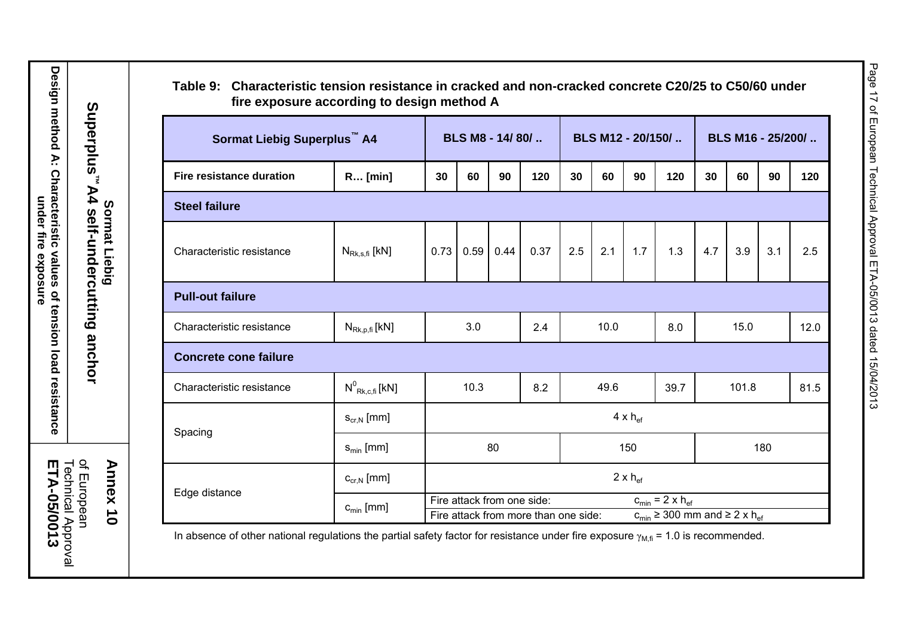| Sormat Liebig Superplus <sup>™</sup> A4 |                                  |                                                                                                                                                    | BLS M8 - 14/80/          |      |      |     | BLS M12 - 20/150/ |     |      | BLS M16 - 25/200/ |      |     |      |
|-----------------------------------------|----------------------------------|----------------------------------------------------------------------------------------------------------------------------------------------------|--------------------------|------|------|-----|-------------------|-----|------|-------------------|------|-----|------|
| <b>Fire resistance duration</b>         | R [min]                          | 30                                                                                                                                                 | 60                       | 90   | 120  | 30  | 60                | 90  | 120  | 30                | 60   | 90  | 120  |
|                                         |                                  |                                                                                                                                                    |                          |      |      |     |                   |     |      |                   |      |     |      |
| <b>Steel failure</b>                    |                                  |                                                                                                                                                    |                          |      |      |     |                   |     |      |                   |      |     |      |
| Characteristic resistance               | $N_{Rk,s,\text{fi}}$ [kN]        | 0.73                                                                                                                                               | 0.59                     | 0.44 | 0.37 | 2.5 | 2.1               | 1.7 | 1.3  | 4.7               | 3.9  | 3.1 | 2.5  |
| <b>Pull-out failure</b>                 |                                  |                                                                                                                                                    |                          |      |      |     |                   |     |      |                   |      |     |      |
| Characteristic resistance               | $N_{\text{Rk},p,\text{fi}}$ [kN] |                                                                                                                                                    | 3.0                      |      | 2.4  |     | 10.0              |     | 8.0  |                   | 15.0 |     | 12.0 |
| <b>Concrete cone failure</b>            |                                  |                                                                                                                                                    |                          |      |      |     |                   |     |      |                   |      |     |      |
| Characteristic resistance               | $N^0$ <sub>Rk.c.fi</sub> [kN]    |                                                                                                                                                    | 10.3                     |      | 8.2  |     | 49.6              |     | 39.7 | 101.8             |      |     | 81.5 |
|                                         | $S_{cr,N}$ [mm]                  | $4 \times h_{\text{ef}}$                                                                                                                           |                          |      |      |     |                   |     |      |                   |      |     |      |
| Spacing                                 | $s_{\min}$ [mm]                  |                                                                                                                                                    | 80                       |      |      | 150 |                   |     |      | 180               |      |     |      |
|                                         | $C_{cr,N}$ [mm]                  |                                                                                                                                                    | $2 \times h_{\text{ef}}$ |      |      |     |                   |     |      |                   |      |     |      |
| Edge distance                           | $c_{\min}$ [mm]                  | $c_{min}$ = 2 x $h_{ef}$<br>Fire attack from one side:<br>Fire attack from more than one side:<br>$c_{min} \geq 300$ mm and $\geq 2 \times h_{ef}$ |                          |      |      |     |                   |     |      |                   |      |     |      |

 $\delta$ gulations the partial safety factor for resistance under fire exposure  $\gamma_\mathsf{M,f\bar{f}}$  = 1.0 is recommended.

Design method A: Characteristic values of tension load resistance<br>under fire exposure **Design method A: Characteristic values of tension load resistance under fire exposure**

of European<br>Technical Approval<br>**ETA-05/0013 ETA-05/0013** Technical Approval of European

Page 17 of European Technical Approval ETA-05/0013 dated 15/04/2013

Page 17 of European Technical Approval ETA-05/0013 dated 15/04/2013